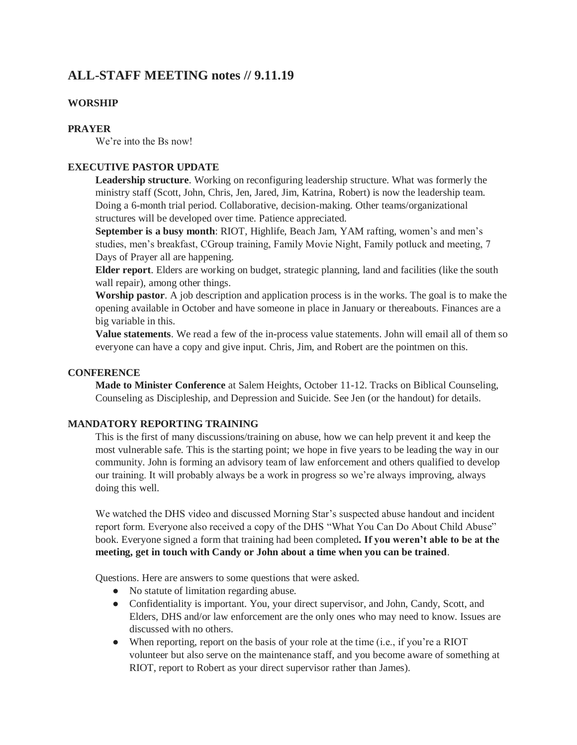# **ALL-STAFF MEETING notes // 9.11.19**

## **WORSHIP**

#### **PRAYER**

We're into the Bs now!

### **EXECUTIVE PASTOR UPDATE**

**Leadership structure**. Working on reconfiguring leadership structure. What was formerly the ministry staff (Scott, John, Chris, Jen, Jared, Jim, Katrina, Robert) is now the leadership team. Doing a 6-month trial period. Collaborative, decision-making. Other teams/organizational structures will be developed over time. Patience appreciated.

**September is a busy month**: RIOT, Highlife, Beach Jam, YAM rafting, women's and men's studies, men's breakfast, CGroup training, Family Movie Night, Family potluck and meeting, 7 Days of Prayer all are happening.

**Elder report**. Elders are working on budget, strategic planning, land and facilities (like the south wall repair), among other things.

**Worship pastor**. A job description and application process is in the works. The goal is to make the opening available in October and have someone in place in January or thereabouts. Finances are a big variable in this.

**Value statements**. We read a few of the in-process value statements. John will email all of them so everyone can have a copy and give input. Chris, Jim, and Robert are the pointmen on this.

## **CONFERENCE**

**Made to Minister Conference** at Salem Heights, October 11-12. Tracks on Biblical Counseling, Counseling as Discipleship, and Depression and Suicide. See Jen (or the handout) for details.

#### **MANDATORY REPORTING TRAINING**

This is the first of many discussions/training on abuse, how we can help prevent it and keep the most vulnerable safe. This is the starting point; we hope in five years to be leading the way in our community. John is forming an advisory team of law enforcement and others qualified to develop our training. It will probably always be a work in progress so we're always improving, always doing this well.

We watched the DHS video and discussed Morning Star's suspected abuse handout and incident report form. Everyone also received a copy of the DHS "What You Can Do About Child Abuse" book. Everyone signed a form that training had been completed**. If you weren't able to be at the meeting, get in touch with Candy or John about a time when you can be trained**.

Questions. Here are answers to some questions that were asked.

- No statute of limitation regarding abuse.
- Confidentiality is important. You, your direct supervisor, and John, Candy, Scott, and Elders, DHS and/or law enforcement are the only ones who may need to know. Issues are discussed with no others.
- When reporting, report on the basis of your role at the time (i.e., if you're a RIOT volunteer but also serve on the maintenance staff, and you become aware of something at RIOT, report to Robert as your direct supervisor rather than James).